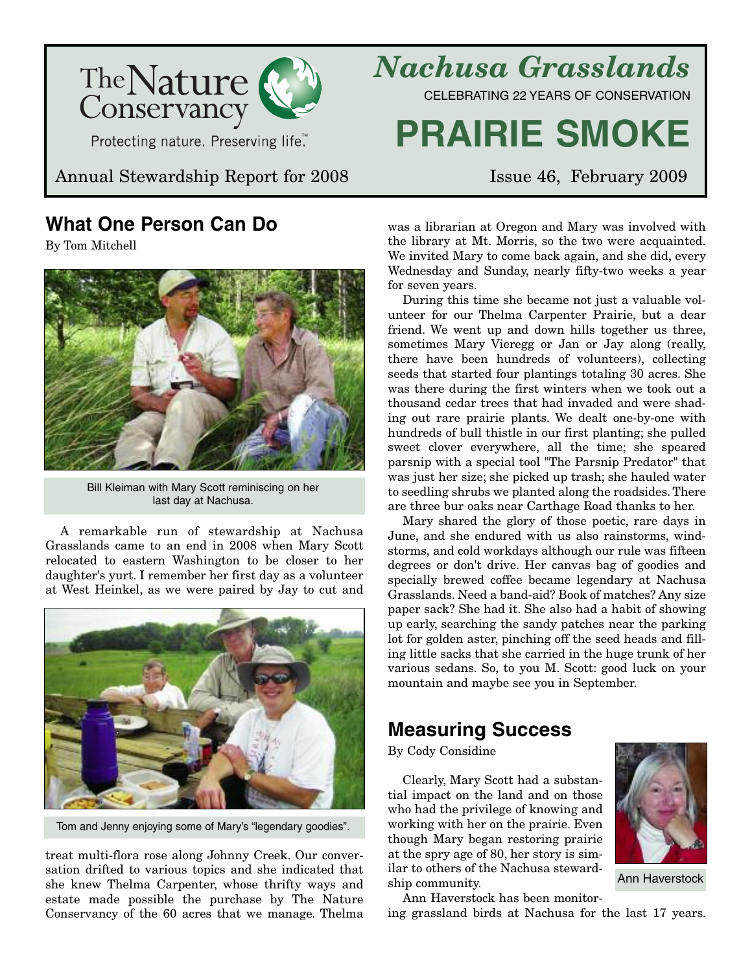

Annual Stewardship Report for 2008 Issue 46, February 2009

## **What One Person Can Do**

By Tom Mitchell



Bill Kleiman with Mary Scott reminiscing on her last day at Nachusa.

A remarkable run of stewardship at Nachusa Grasslands came to an end in 2008 when Mary Scott relocated to eastern Washington to be closer to her daughter's yurt. I remember her first day as a volunteer at West Heinkel, as we were paired by Jay to cut and



Tom and Jenny enjoying some of Mary's "legendary goodies".

treat multi-flora rose along Johnny Creek. Our conversation drifted to various topics and she indicated that she knew Thelma Carpenter, whose thrifty ways and estate made possible the purchase by The Nature Conservancy of the 60 acres that we manage. Thelma

*Nachusa Grasslands* CELEBRATING 22 YEARS OF CONSERVATION

# **PRAIRIE SMOKE**

was a librarian at Oregon and Mary was involved with the library at Mt. Morris, so the two were acquainted. We invited Mary to come back again, and she did, every Wednesday and Sunday, nearly fifty-two weeks a year for seven years.

During this time she became not just a valuable volunteer for our Thelma Carpenter Prairie, but a dear friend. We went up and down hills together us three, sometimes Mary Vieregg or Jan or Jay along (really, there have been hundreds of volunteers), collecting seeds that started four plantings totaling 30 acres. She was there during the first winters when we took out a thousand cedar trees that had invaded and were shading out rare prairie plants. We dealt one-by-one with hundreds of bull thistle in our first planting; she pulled sweet clover everywhere, all the time; she speared parsnip with a special tool "The Parsnip Predator" that was just her size; she picked up trash; she hauled water to seedling shrubs we planted along the roadsides. There are three bur oaks near Carthage Road thanks to her.

Mary shared the glory of those poetic, rare days in June, and she endured with us also rainstorms, windstorms, and cold workdays although our rule was fifteen degrees or don't drive. Her canvas bag of goodies and specially brewed coffee became legendary at Nachusa Grasslands. Need a band-aid? Book of matches? Any size paper sack? She had it. She also had a habit of showing up early, searching the sandy patches near the parking lot for golden aster, pinching off the seed heads and filling little sacks that she carried in the huge trunk of her various sedans. So, to you M. Scott: good luck on your mountain and maybe see you in September.

# **Measuring Success**

By Cody Considine

Clearly, Mary Scott had a substantial impact on the land and on those who had the privilege of knowing and working with her on the prairie. Even though Mary began restoring prairie at the spry age of 80, her story is similar to others of the Nachusa stewardship community.



ing grassland birds at Nachusa for the last 17 years.



Ann Haverstock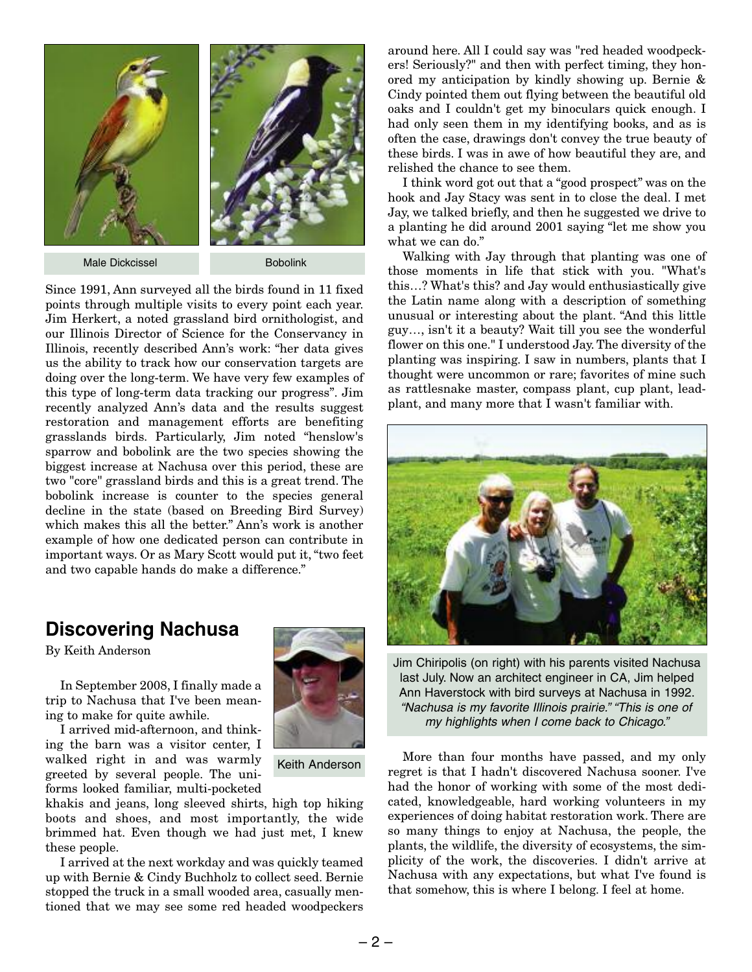

Male Dickcissel Bobolink

Since 1991, Ann surveyed all the birds found in 11 fixed points through multiple visits to every point each year. Jim Herkert, a noted grassland bird ornithologist, and our Illinois Director of Science for the Conservancy in Illinois, recently described Ann's work: "her data gives us the ability to track how our conservation targets are doing over the long-term. We have very few examples of this type of long-term data tracking our progress". Jim recently analyzed Ann's data and the results suggest restoration and management efforts are benefiting grasslands birds. Particularly, Jim noted "henslow's sparrow and bobolink are the two species showing the biggest increase at Nachusa over this period, these are two "core" grassland birds and this is a great trend. The bobolink increase is counter to the species general decline in the state (based on Breeding Bird Survey) which makes this all the better." Ann's work is another example of how one dedicated person can contribute in important ways. Or as Mary Scott would put it, "two feet and two capable hands do make a difference."

### **Discovering Nachusa**

By Keith Anderson

In September 2008, I finally made a trip to Nachusa that I've been meaning to make for quite awhile.

I arrived mid-afternoon, and thinking the barn was a visitor center, I walked right in and was warmly greeted by several people. The uniforms looked familiar, multi-pocketed

khakis and jeans, long sleeved shirts, high top hiking boots and shoes, and most importantly, the wide brimmed hat. Even though we had just met, I knew these people.

I arrived at the next workday and was quickly teamed up with Bernie & Cindy Buchholz to collect seed. Bernie stopped the truck in a small wooded area, casually mentioned that we may see some red headed woodpeckers



Keith Anderson

around here. All I could say was "red headed woodpeckers! Seriously?" and then with perfect timing, they honored my anticipation by kindly showing up. Bernie & Cindy pointed them out flying between the beautiful old oaks and I couldn't get my binoculars quick enough. I had only seen them in my identifying books, and as is often the case, drawings don't convey the true beauty of these birds. I was in awe of how beautiful they are, and relished the chance to see them.

I think word got out that a "good prospect" was on the hook and Jay Stacy was sent in to close the deal. I met Jay, we talked briefly, and then he suggested we drive to a planting he did around 2001 saying "let me show you what we can do."

Walking with Jay through that planting was one of those moments in life that stick with you. "What's this…? What's this? and Jay would enthusiastically give the Latin name along with a description of something unusual or interesting about the plant. "And this little guy…, isn't it a beauty? Wait till you see the wonderful flower on this one." I understood Jay. The diversity of the planting was inspiring. I saw in numbers, plants that I thought were uncommon or rare; favorites of mine such as rattlesnake master, compass plant, cup plant, leadplant, and many more that I wasn't familiar with.



Jim Chiripolis (on right) with his parents visited Nachusa last July. Now an architect engineer in CA, Jim helped Ann Haverstock with bird surveys at Nachusa in 1992. *"Nachusa is my favorite Illinois prairie." "This is one of my highlights when I come back to Chicago."*

More than four months have passed, and my only regret is that I hadn't discovered Nachusa sooner. I've had the honor of working with some of the most dedicated, knowledgeable, hard working volunteers in my experiences of doing habitat restoration work. There are so many things to enjoy at Nachusa, the people, the plants, the wildlife, the diversity of ecosystems, the simplicity of the work, the discoveries. I didn't arrive at Nachusa with any expectations, but what I've found is that somehow, this is where I belong. I feel at home.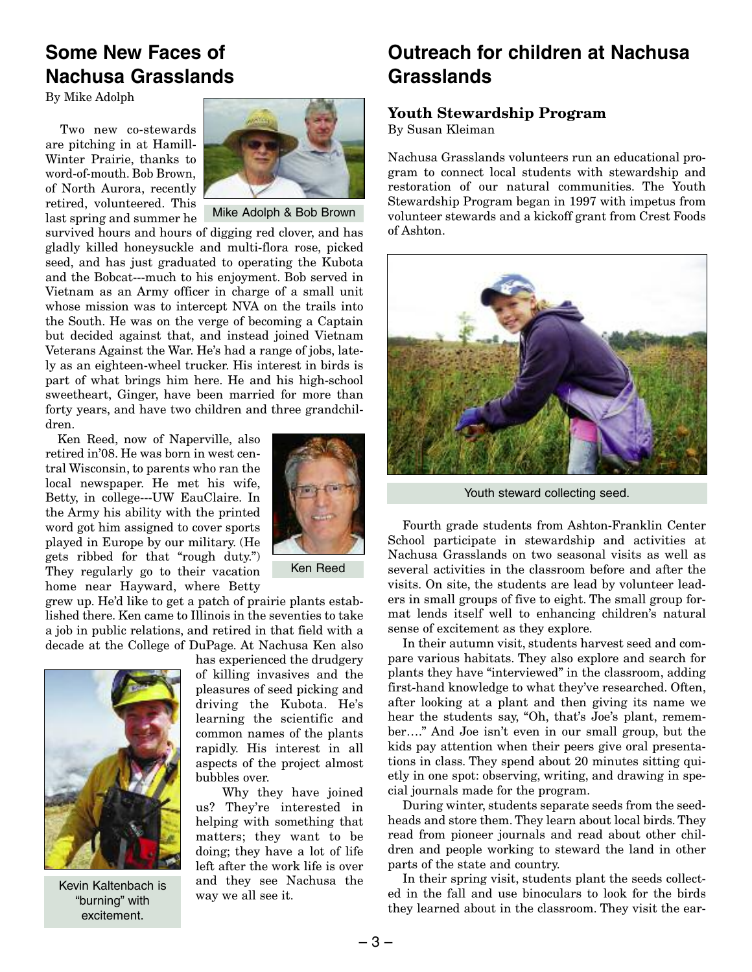### **Some New Faces of Nachusa Grasslands**

By Mike Adolph

Two new co-stewards are pitching in at Hamill-Winter Prairie, thanks to word-of-mouth. Bob Brown, of North Aurora, recently retired, volunteered. This last spring and summer he



Mike Adolph & Bob Brown

survived hours and hours of digging red clover, and has gladly killed honeysuckle and multi-flora rose, picked seed, and has just graduated to operating the Kubota and the Bobcat---much to his enjoyment. Bob served in Vietnam as an Army officer in charge of a small unit whose mission was to intercept NVA on the trails into the South. He was on the verge of becoming a Captain but decided against that, and instead joined Vietnam Veterans Against the War. He's had a range of jobs, lately as an eighteen-wheel trucker. His interest in birds is part of what brings him here. He and his high-school sweetheart, Ginger, have been married for more than forty years, and have two children and three grandchildren.

Ken Reed, now of Naperville, also retired in'08. He was born in west central Wisconsin, to parents who ran the local newspaper. He met his wife, Betty, in college---UW EauClaire. In the Army his ability with the printed word got him assigned to cover sports played in Europe by our military. (He gets ribbed for that "rough duty.") They regularly go to their vacation home near Hayward, where Betty



Ken Reed

grew up. He'd like to get a patch of prairie plants established there. Ken came to Illinois in the seventies to take a job in public relations, and retired in that field with a decade at the College of DuPage. At Nachusa Ken also



Kevin Kaltenbach is "burning" with excitement.

has experienced the drudgery of killing invasives and the pleasures of seed picking and driving the Kubota. He's learning the scientific and common names of the plants rapidly. His interest in all aspects of the project almost bubbles over.

Why they have joined us? They're interested in helping with something that matters; they want to be doing; they have a lot of life left after the work life is over and they see Nachusa the way we all see it.

### **Outreach for children at Nachusa Grasslands**

#### **Youth Stewardship Program**

By Susan Kleiman

Nachusa Grasslands volunteers run an educational program to connect local students with stewardship and restoration of our natural communities. The Youth Stewardship Program began in 1997 with impetus from volunteer stewards and a kickoff grant from Crest Foods of Ashton.



Youth steward collecting seed.

Fourth grade students from Ashton-Franklin Center School participate in stewardship and activities at Nachusa Grasslands on two seasonal visits as well as several activities in the classroom before and after the visits. On site, the students are lead by volunteer leaders in small groups of five to eight. The small group format lends itself well to enhancing children's natural sense of excitement as they explore.

In their autumn visit, students harvest seed and compare various habitats. They also explore and search for plants they have "interviewed" in the classroom, adding first-hand knowledge to what they've researched. Often, after looking at a plant and then giving its name we hear the students say, "Oh, that's Joe's plant, remember…." And Joe isn't even in our small group, but the kids pay attention when their peers give oral presentations in class. They spend about 20 minutes sitting quietly in one spot: observing, writing, and drawing in special journals made for the program.

During winter, students separate seeds from the seedheads and store them. They learn about local birds. They read from pioneer journals and read about other children and people working to steward the land in other parts of the state and country.

In their spring visit, students plant the seeds collected in the fall and use binoculars to look for the birds they learned about in the classroom. They visit the ear-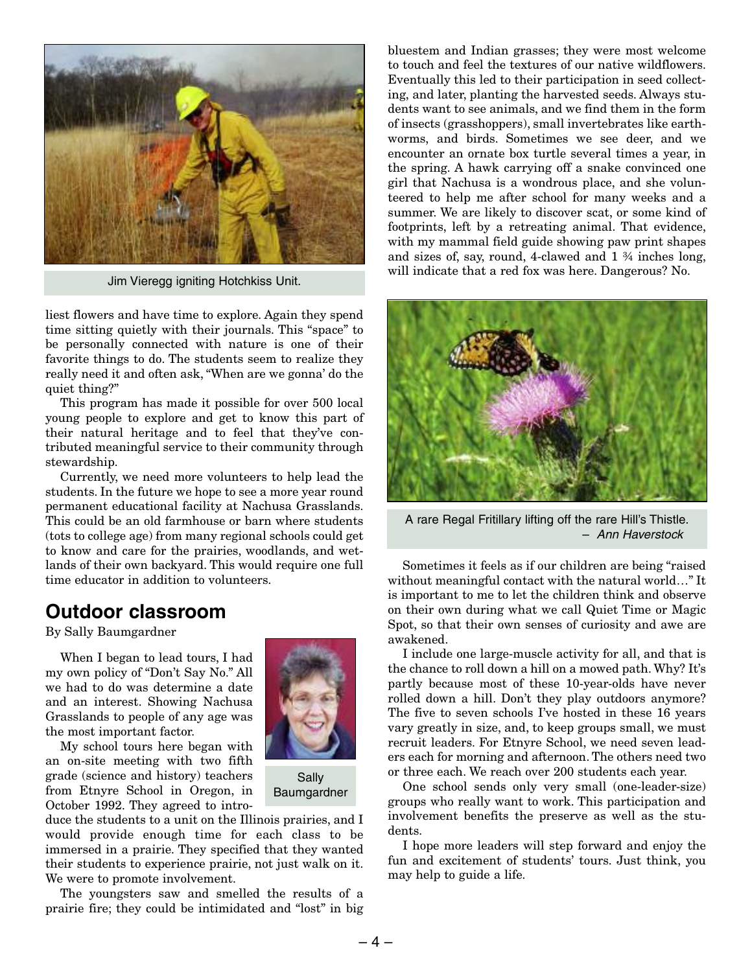

Jim Vieregg igniting Hotchkiss Unit.

liest flowers and have time to explore. Again they spend time sitting quietly with their journals. This "space" to be personally connected with nature is one of their favorite things to do. The students seem to realize they really need it and often ask, "When are we gonna' do the quiet thing?"

This program has made it possible for over 500 local young people to explore and get to know this part of their natural heritage and to feel that they've contributed meaningful service to their community through stewardship.

Currently, we need more volunteers to help lead the students. In the future we hope to see a more year round permanent educational facility at Nachusa Grasslands. This could be an old farmhouse or barn where students (tots to college age) from many regional schools could get to know and care for the prairies, woodlands, and wetlands of their own backyard. This would require one full time educator in addition to volunteers.

### **Outdoor classroom**

By Sally Baumgardner

When I began to lead tours, I had my own policy of "Don't Say No." All we had to do was determine a date and an interest. Showing Nachusa Grasslands to people of any age was the most important factor.

My school tours here began with an on-site meeting with two fifth grade (science and history) teachers from Etnyre School in Oregon, in October 1992. They agreed to intro-



Sally Baumgardner

duce the students to a unit on the Illinois prairies, and I would provide enough time for each class to be immersed in a prairie. They specified that they wanted their students to experience prairie, not just walk on it. We were to promote involvement.

The youngsters saw and smelled the results of a prairie fire; they could be intimidated and "lost" in big bluestem and Indian grasses; they were most welcome to touch and feel the textures of our native wildflowers. Eventually this led to their participation in seed collecting, and later, planting the harvested seeds. Always students want to see animals, and we find them in the form of insects (grasshoppers), small invertebrates like earthworms, and birds. Sometimes we see deer, and we encounter an ornate box turtle several times a year, in the spring. A hawk carrying off a snake convinced one girl that Nachusa is a wondrous place, and she volunteered to help me after school for many weeks and a summer. We are likely to discover scat, or some kind of footprints, left by a retreating animal. That evidence, with my mammal field guide showing paw print shapes and sizes of, say, round, 4-clawed and 1 ¾ inches long, will indicate that a red fox was here. Dangerous? No.



A rare Regal Fritillary lifting off the rare Hill's Thistle. – *Ann Haverstock*

Sometimes it feels as if our children are being "raised without meaningful contact with the natural world…" It is important to me to let the children think and observe on their own during what we call Quiet Time or Magic Spot, so that their own senses of curiosity and awe are awakened.

I include one large-muscle activity for all, and that is the chance to roll down a hill on a mowed path. Why? It's partly because most of these 10-year-olds have never rolled down a hill. Don't they play outdoors anymore? The five to seven schools I've hosted in these 16 years vary greatly in size, and, to keep groups small, we must recruit leaders. For Etnyre School, we need seven leaders each for morning and afternoon. The others need two or three each. We reach over 200 students each year.

One school sends only very small (one-leader-size) groups who really want to work. This participation and involvement benefits the preserve as well as the students.

I hope more leaders will step forward and enjoy the fun and excitement of students' tours. Just think, you may help to guide a life.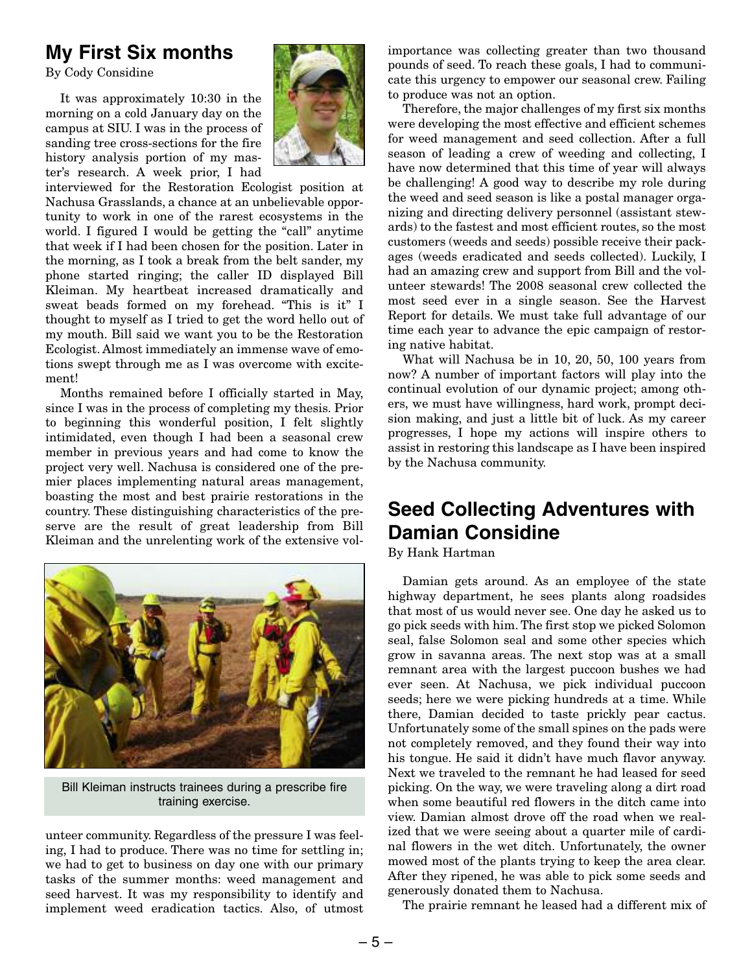### **My First Six months**

By Cody Considine

It was approximately 10:30 in the morning on a cold January day on the campus at SIU. I was in the process of sanding tree cross-sections for the fire history analysis portion of my master's research. A week prior, I had



interviewed for the Restoration Ecologist position at Nachusa Grasslands, a chance at an unbelievable opportunity to work in one of the rarest ecosystems in the world. I figured I would be getting the "call" anytime that week if I had been chosen for the position. Later in the morning, as I took a break from the belt sander, my phone started ringing; the caller ID displayed Bill Kleiman. My heartbeat increased dramatically and sweat beads formed on my forehead. "This is it" I thought to myself as I tried to get the word hello out of my mouth. Bill said we want you to be the Restoration Ecologist. Almost immediately an immense wave of emotions swept through me as I was overcome with excitement!

Months remained before I officially started in May, since I was in the process of completing my thesis. Prior to beginning this wonderful position, I felt slightly intimidated, even though I had been a seasonal crew member in previous years and had come to know the project very well. Nachusa is considered one of the premier places implementing natural areas management, boasting the most and best prairie restorations in the country. These distinguishing characteristics of the preserve are the result of great leadership from Bill Kleiman and the unrelenting work of the extensive vol-



Bill Kleiman instructs trainees during a prescribe fire training exercise.

unteer community. Regardless of the pressure I was feeling, I had to produce. There was no time for settling in; we had to get to business on day one with our primary tasks of the summer months: weed management and seed harvest. It was my responsibility to identify and implement weed eradication tactics. Also, of utmost

importance was collecting greater than two thousand pounds of seed. To reach these goals, I had to communicate this urgency to empower our seasonal crew. Failing to produce was not an option.

Therefore, the major challenges of my first six months were developing the most effective and efficient schemes for weed management and seed collection. After a full season of leading a crew of weeding and collecting, I have now determined that this time of year will always be challenging! A good way to describe my role during the weed and seed season is like a postal manager organizing and directing delivery personnel (assistant stewards) to the fastest and most efficient routes, so the most customers (weeds and seeds) possible receive their packages (weeds eradicated and seeds collected). Luckily, I had an amazing crew and support from Bill and the volunteer stewards! The 2008 seasonal crew collected the most seed ever in a single season. See the Harvest Report for details. We must take full advantage of our time each year to advance the epic campaign of restoring native habitat.

What will Nachusa be in 10, 20, 50, 100 years from now? A number of important factors will play into the continual evolution of our dynamic project; among others, we must have willingness, hard work, prompt decision making, and just a little bit of luck. As my career progresses, I hope my actions will inspire others to assist in restoring this landscape as I have been inspired by the Nachusa community.

# **Seed Collecting Adventures with Damian Considine**

By Hank Hartman

Damian gets around. As an employee of the state highway department, he sees plants along roadsides that most of us would never see. One day he asked us to go pick seeds with him. The first stop we picked Solomon seal, false Solomon seal and some other species which grow in savanna areas. The next stop was at a small remnant area with the largest puccoon bushes we had ever seen. At Nachusa, we pick individual puccoon seeds; here we were picking hundreds at a time. While there, Damian decided to taste prickly pear cactus. Unfortunately some of the small spines on the pads were not completely removed, and they found their way into his tongue. He said it didn't have much flavor anyway. Next we traveled to the remnant he had leased for seed picking. On the way, we were traveling along a dirt road when some beautiful red flowers in the ditch came into view. Damian almost drove off the road when we realized that we were seeing about a quarter mile of cardinal flowers in the wet ditch. Unfortunately, the owner mowed most of the plants trying to keep the area clear. After they ripened, he was able to pick some seeds and generously donated them to Nachusa.

The prairie remnant he leased had a different mix of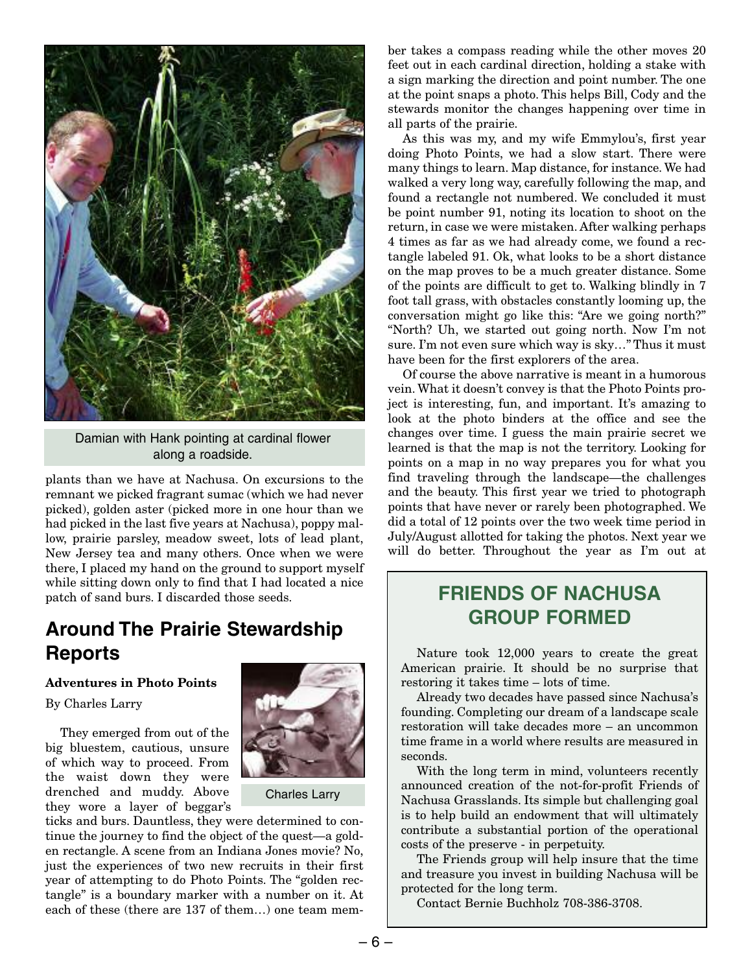

Damian with Hank pointing at cardinal flower along a roadside.

plants than we have at Nachusa. On excursions to the remnant we picked fragrant sumac (which we had never picked), golden aster (picked more in one hour than we had picked in the last five years at Nachusa), poppy mallow, prairie parsley, meadow sweet, lots of lead plant, New Jersey tea and many others. Once when we were there, I placed my hand on the ground to support myself while sitting down only to find that I had located a nice patch of sand burs. I discarded those seeds.

# **Around The Prairie Stewardship Reports**

#### **Adventures in Photo Points**

#### By Charles Larry

They emerged from out of the big bluestem, cautious, unsure of which way to proceed. From the waist down they were drenched and muddy. Above they wore a layer of beggar's



#### Charles Larry

ticks and burs. Dauntless, they were determined to continue the journey to find the object of the quest—a golden rectangle. A scene from an Indiana Jones movie? No, just the experiences of two new recruits in their first year of attempting to do Photo Points. The "golden rectangle" is a boundary marker with a number on it. At each of these (there are 137 of them…) one team member takes a compass reading while the other moves 20 feet out in each cardinal direction, holding a stake with a sign marking the direction and point number. The one at the point snaps a photo. This helps Bill, Cody and the stewards monitor the changes happening over time in all parts of the prairie.

As this was my, and my wife Emmylou's, first year doing Photo Points, we had a slow start. There were many things to learn. Map distance, for instance. We had walked a very long way, carefully following the map, and found a rectangle not numbered. We concluded it must be point number 91, noting its location to shoot on the return, in case we were mistaken. After walking perhaps 4 times as far as we had already come, we found a rectangle labeled 91. Ok, what looks to be a short distance on the map proves to be a much greater distance. Some of the points are difficult to get to. Walking blindly in 7 foot tall grass, with obstacles constantly looming up, the conversation might go like this: "Are we going north?" "North? Uh, we started out going north. Now I'm not sure. I'm not even sure which way is sky…" Thus it must have been for the first explorers of the area.

Of course the above narrative is meant in a humorous vein. What it doesn't convey is that the Photo Points project is interesting, fun, and important. It's amazing to look at the photo binders at the office and see the changes over time. I guess the main prairie secret we learned is that the map is not the territory. Looking for points on a map in no way prepares you for what you find traveling through the landscape—the challenges and the beauty. This first year we tried to photograph points that have never or rarely been photographed. We did a total of 12 points over the two week time period in July/August allotted for taking the photos. Next year we will do better. Throughout the year as I'm out at

# **FRIENDS OF NACHUSA GROUP FORMED**

Nature took 12,000 years to create the great American prairie. It should be no surprise that restoring it takes time – lots of time.

Already two decades have passed since Nachusa's founding. Completing our dream of a landscape scale restoration will take decades more – an uncommon time frame in a world where results are measured in seconds.

With the long term in mind, volunteers recently announced creation of the not-for-profit Friends of Nachusa Grasslands. Its simple but challenging goal is to help build an endowment that will ultimately contribute a substantial portion of the operational costs of the preserve - in perpetuity.

The Friends group will help insure that the time and treasure you invest in building Nachusa will be protected for the long term.

Contact Bernie Buchholz 708-386-3708.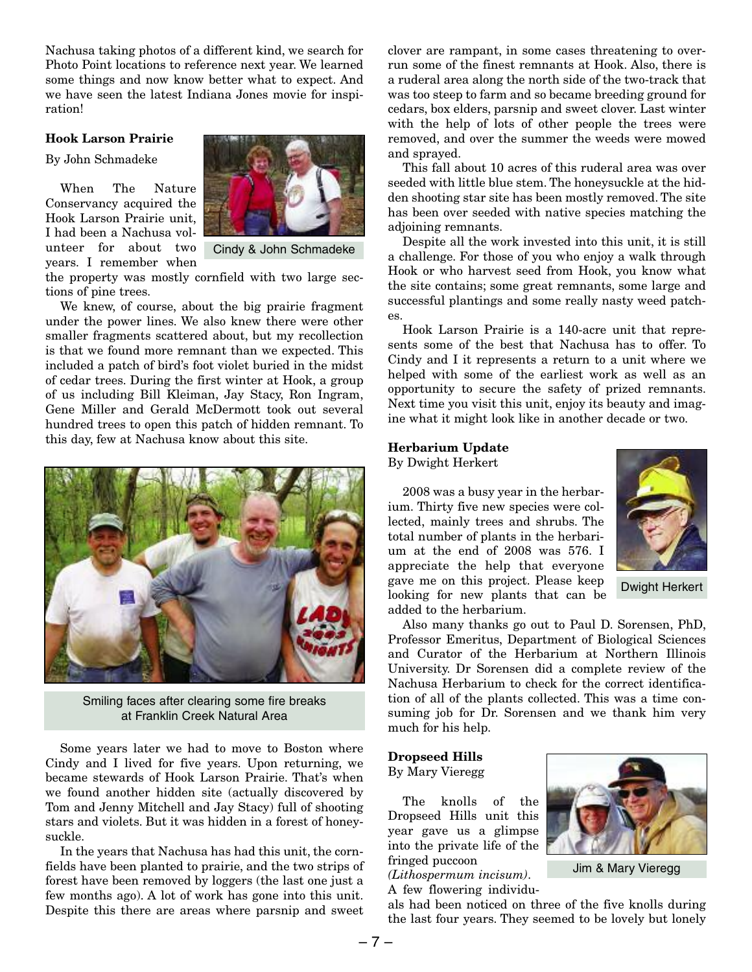Nachusa taking photos of a different kind, we search for Photo Point locations to reference next year. We learned some things and now know better what to expect. And we have seen the latest Indiana Jones movie for inspiration!

#### **Hook Larson Prairie**

By John Schmadeke

When The Nature Conservancy acquired the Hook Larson Prairie unit, I had been a Nachusa volunteer for about two years. I remember when



Cindy & John Schmadeke

the property was mostly cornfield with two large sections of pine trees.

We knew, of course, about the big prairie fragment under the power lines. We also knew there were other smaller fragments scattered about, but my recollection is that we found more remnant than we expected. This included a patch of bird's foot violet buried in the midst of cedar trees. During the first winter at Hook, a group of us including Bill Kleiman, Jay Stacy, Ron Ingram, Gene Miller and Gerald McDermott took out several hundred trees to open this patch of hidden remnant. To this day, few at Nachusa know about this site.



Smiling faces after clearing some fire breaks at Franklin Creek Natural Area

Some years later we had to move to Boston where Cindy and I lived for five years. Upon returning, we became stewards of Hook Larson Prairie. That's when we found another hidden site (actually discovered by Tom and Jenny Mitchell and Jay Stacy) full of shooting stars and violets. But it was hidden in a forest of honeysuckle.

In the years that Nachusa has had this unit, the cornfields have been planted to prairie, and the two strips of forest have been removed by loggers (the last one just a few months ago). A lot of work has gone into this unit. Despite this there are areas where parsnip and sweet clover are rampant, in some cases threatening to overrun some of the finest remnants at Hook. Also, there is a ruderal area along the north side of the two-track that was too steep to farm and so became breeding ground for cedars, box elders, parsnip and sweet clover. Last winter with the help of lots of other people the trees were removed, and over the summer the weeds were mowed and sprayed.

This fall about 10 acres of this ruderal area was over seeded with little blue stem. The honeysuckle at the hidden shooting star site has been mostly removed. The site has been over seeded with native species matching the adjoining remnants.

Despite all the work invested into this unit, it is still a challenge. For those of you who enjoy a walk through Hook or who harvest seed from Hook, you know what the site contains; some great remnants, some large and successful plantings and some really nasty weed patches.

Hook Larson Prairie is a 140-acre unit that represents some of the best that Nachusa has to offer. To Cindy and I it represents a return to a unit where we helped with some of the earliest work as well as an opportunity to secure the safety of prized remnants. Next time you visit this unit, enjoy its beauty and imagine what it might look like in another decade or two.

#### **Herbarium Update**

By Dwight Herkert

2008 was a busy year in the herbarium. Thirty five new species were collected, mainly trees and shrubs. The total number of plants in the herbarium at the end of 2008 was 576. I appreciate the help that everyone gave me on this project. Please keep looking for new plants that can be added to the herbarium.



Dwight Herkert

Also many thanks go out to Paul D. Sorensen, PhD, Professor Emeritus, Department of Biological Sciences and Curator of the Herbarium at Northern Illinois University. Dr Sorensen did a complete review of the Nachusa Herbarium to check for the correct identification of all of the plants collected. This was a time consuming job for Dr. Sorensen and we thank him very much for his help.

#### **Dropseed Hills** By Mary Vieregg

The knolls of the Dropseed Hills unit this year gave us a glimpse into the private life of the fringed puccoon

*(Lithospermum incisum)*. A few flowering individu-



Jim & Mary Vieregg

als had been noticed on three of the five knolls during the last four years. They seemed to be lovely but lonely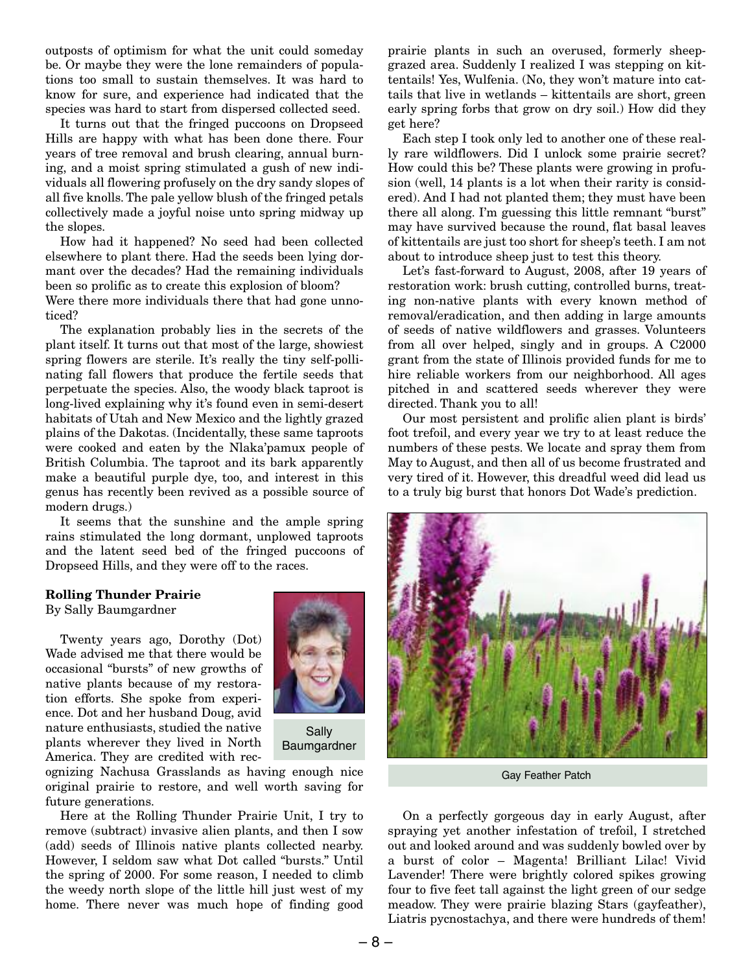outposts of optimism for what the unit could someday be. Or maybe they were the lone remainders of populations too small to sustain themselves. It was hard to know for sure, and experience had indicated that the species was hard to start from dispersed collected seed.

It turns out that the fringed puccoons on Dropseed Hills are happy with what has been done there. Four years of tree removal and brush clearing, annual burning, and a moist spring stimulated a gush of new individuals all flowering profusely on the dry sandy slopes of all five knolls. The pale yellow blush of the fringed petals collectively made a joyful noise unto spring midway up the slopes.

How had it happened? No seed had been collected elsewhere to plant there. Had the seeds been lying dormant over the decades? Had the remaining individuals been so prolific as to create this explosion of bloom? Were there more individuals there that had gone unnoticed?

The explanation probably lies in the secrets of the plant itself. It turns out that most of the large, showiest spring flowers are sterile. It's really the tiny self-pollinating fall flowers that produce the fertile seeds that perpetuate the species. Also, the woody black taproot is long-lived explaining why it's found even in semi-desert habitats of Utah and New Mexico and the lightly grazed plains of the Dakotas. (Incidentally, these same taproots were cooked and eaten by the Nlaka'pamux people of British Columbia. The taproot and its bark apparently make a beautiful purple dye, too, and interest in this genus has recently been revived as a possible source of modern drugs.)

It seems that the sunshine and the ample spring rains stimulated the long dormant, unplowed taproots and the latent seed bed of the fringed puccoons of Dropseed Hills, and they were off to the races.

#### **Rolling Thunder Prairie**

By Sally Baumgardner

Twenty years ago, Dorothy (Dot) Wade advised me that there would be occasional "bursts" of new growths of native plants because of my restoration efforts. She spoke from experience. Dot and her husband Doug, avid nature enthusiasts, studied the native plants wherever they lived in North America. They are credited with rec-



Sally Baumgardner

ognizing Nachusa Grasslands as having enough nice original prairie to restore, and well worth saving for future generations.

Here at the Rolling Thunder Prairie Unit, I try to remove (subtract) invasive alien plants, and then I sow (add) seeds of Illinois native plants collected nearby. However, I seldom saw what Dot called "bursts." Until the spring of 2000. For some reason, I needed to climb the weedy north slope of the little hill just west of my home. There never was much hope of finding good prairie plants in such an overused, formerly sheepgrazed area. Suddenly I realized I was stepping on kittentails! Yes, Wulfenia. (No, they won't mature into cattails that live in wetlands – kittentails are short, green early spring forbs that grow on dry soil.) How did they get here?

Each step I took only led to another one of these really rare wildflowers. Did I unlock some prairie secret? How could this be? These plants were growing in profusion (well, 14 plants is a lot when their rarity is considered). And I had not planted them; they must have been there all along. I'm guessing this little remnant "burst" may have survived because the round, flat basal leaves of kittentails are just too short for sheep's teeth. I am not about to introduce sheep just to test this theory.

Let's fast-forward to August, 2008, after 19 years of restoration work: brush cutting, controlled burns, treating non-native plants with every known method of removal/eradication, and then adding in large amounts of seeds of native wildflowers and grasses. Volunteers from all over helped, singly and in groups. A C2000 grant from the state of Illinois provided funds for me to hire reliable workers from our neighborhood. All ages pitched in and scattered seeds wherever they were directed. Thank you to all!

Our most persistent and prolific alien plant is birds' foot trefoil, and every year we try to at least reduce the numbers of these pests. We locate and spray them from May to August, and then all of us become frustrated and very tired of it. However, this dreadful weed did lead us to a truly big burst that honors Dot Wade's prediction.



Gay Feather Patch

On a perfectly gorgeous day in early August, after spraying yet another infestation of trefoil, I stretched out and looked around and was suddenly bowled over by a burst of color – Magenta! Brilliant Lilac! Vivid Lavender! There were brightly colored spikes growing four to five feet tall against the light green of our sedge meadow. They were prairie blazing Stars (gayfeather), Liatris pycnostachya, and there were hundreds of them!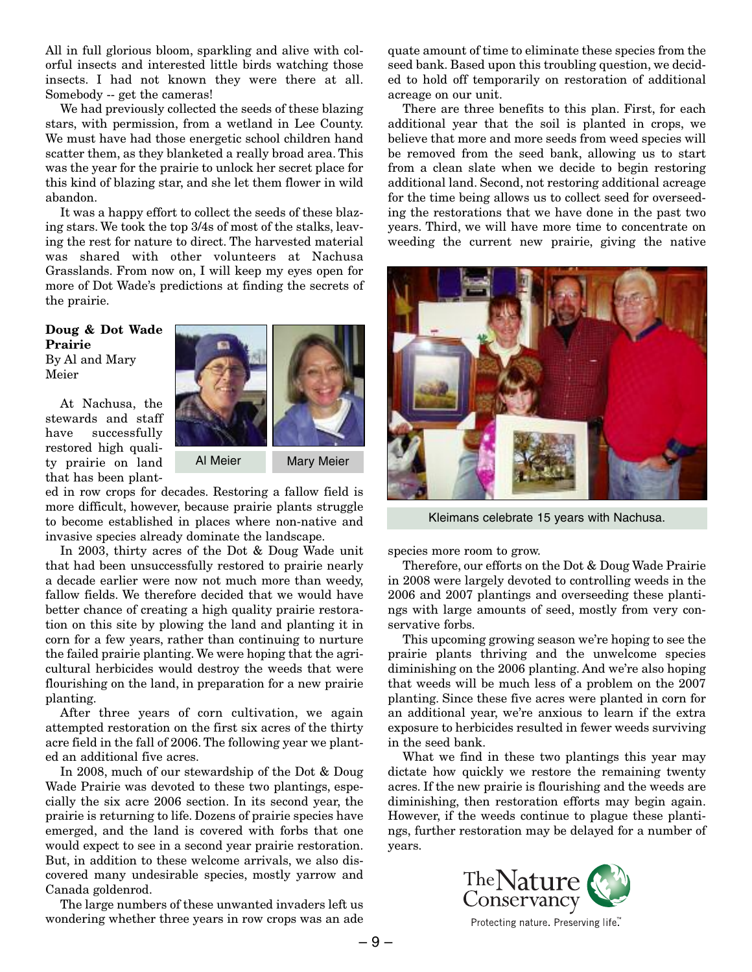All in full glorious bloom, sparkling and alive with colorful insects and interested little birds watching those insects. I had not known they were there at all. Somebody -- get the cameras!

We had previously collected the seeds of these blazing stars, with permission, from a wetland in Lee County. We must have had those energetic school children hand scatter them, as they blanketed a really broad area. This was the year for the prairie to unlock her secret place for this kind of blazing star, and she let them flower in wild abandon.

It was a happy effort to collect the seeds of these blazing stars. We took the top 3/4s of most of the stalks, leaving the rest for nature to direct. The harvested material was shared with other volunteers at Nachusa Grasslands. From now on, I will keep my eyes open for more of Dot Wade's predictions at finding the secrets of the prairie.

#### **Doug & Dot Wade Prairie** By Al and Mary Meier

At Nachusa, the stewards and staff have successfully restored high quality prairie on land that has been plant-



ed in row crops for decades. Restoring a fallow field is more difficult, however, because prairie plants struggle to become established in places where non-native and invasive species already dominate the landscape.

In 2003, thirty acres of the Dot & Doug Wade unit that had been unsuccessfully restored to prairie nearly a decade earlier were now not much more than weedy, fallow fields. We therefore decided that we would have better chance of creating a high quality prairie restoration on this site by plowing the land and planting it in corn for a few years, rather than continuing to nurture the failed prairie planting. We were hoping that the agricultural herbicides would destroy the weeds that were flourishing on the land, in preparation for a new prairie planting.

After three years of corn cultivation, we again attempted restoration on the first six acres of the thirty acre field in the fall of 2006. The following year we planted an additional five acres.

In 2008, much of our stewardship of the Dot & Doug Wade Prairie was devoted to these two plantings, especially the six acre 2006 section. In its second year, the prairie is returning to life. Dozens of prairie species have emerged, and the land is covered with forbs that one would expect to see in a second year prairie restoration. But, in addition to these welcome arrivals, we also discovered many undesirable species, mostly yarrow and Canada goldenrod.

The large numbers of these unwanted invaders left us wondering whether three years in row crops was an ade quate amount of time to eliminate these species from the seed bank. Based upon this troubling question, we decided to hold off temporarily on restoration of additional acreage on our unit.

There are three benefits to this plan. First, for each additional year that the soil is planted in crops, we believe that more and more seeds from weed species will be removed from the seed bank, allowing us to start from a clean slate when we decide to begin restoring additional land. Second, not restoring additional acreage for the time being allows us to collect seed for overseeding the restorations that we have done in the past two years. Third, we will have more time to concentrate on weeding the current new prairie, giving the native



Kleimans celebrate 15 years with Nachusa.

species more room to grow.

Therefore, our efforts on the Dot & Doug Wade Prairie in 2008 were largely devoted to controlling weeds in the 2006 and 2007 plantings and overseeding these plantings with large amounts of seed, mostly from very conservative forbs.

This upcoming growing season we're hoping to see the prairie plants thriving and the unwelcome species diminishing on the 2006 planting. And we're also hoping that weeds will be much less of a problem on the 2007 planting. Since these five acres were planted in corn for an additional year, we're anxious to learn if the extra exposure to herbicides resulted in fewer weeds surviving in the seed bank.

What we find in these two plantings this year may dictate how quickly we restore the remaining twenty acres. If the new prairie is flourishing and the weeds are diminishing, then restoration efforts may begin again. However, if the weeds continue to plague these plantings, further restoration may be delayed for a number of years.



Protecting nature. Preserving life"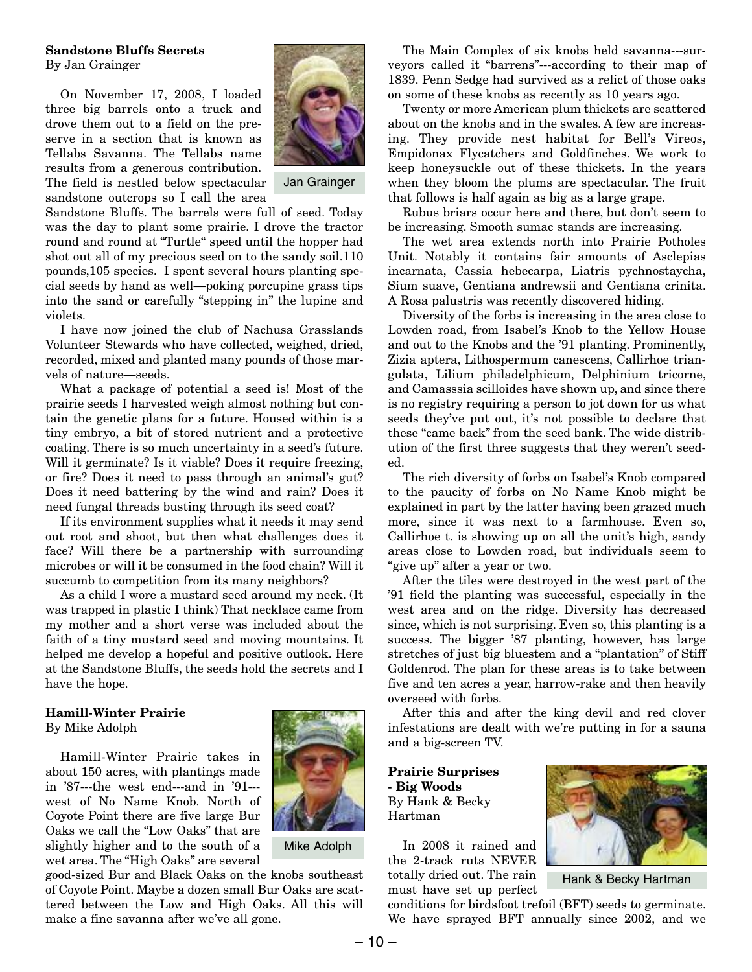#### **Sandstone Bluffs Secrets**

By Jan Grainger

On November 17, 2008, I loaded three big barrels onto a truck and drove them out to a field on the preserve in a section that is known as Tellabs Savanna. The Tellabs name results from a generous contribution.



Jan Grainger

The field is nestled below spectacular sandstone outcrops so I call the area

Sandstone Bluffs. The barrels were full of seed. Today was the day to plant some prairie. I drove the tractor round and round at "Turtle" speed until the hopper had shot out all of my precious seed on to the sandy soil.110 pounds,105 species. I spent several hours planting special seeds by hand as well—poking porcupine grass tips into the sand or carefully "stepping in" the lupine and violets.

I have now joined the club of Nachusa Grasslands Volunteer Stewards who have collected, weighed, dried, recorded, mixed and planted many pounds of those marvels of nature—seeds.

What a package of potential a seed is! Most of the prairie seeds I harvested weigh almost nothing but contain the genetic plans for a future. Housed within is a tiny embryo, a bit of stored nutrient and a protective coating. There is so much uncertainty in a seed's future. Will it germinate? Is it viable? Does it require freezing, or fire? Does it need to pass through an animal's gut? Does it need battering by the wind and rain? Does it need fungal threads busting through its seed coat?

If its environment supplies what it needs it may send out root and shoot, but then what challenges does it face? Will there be a partnership with surrounding microbes or will it be consumed in the food chain? Will it succumb to competition from its many neighbors?

As a child I wore a mustard seed around my neck. (It was trapped in plastic I think) That necklace came from my mother and a short verse was included about the faith of a tiny mustard seed and moving mountains. It helped me develop a hopeful and positive outlook. Here at the Sandstone Bluffs, the seeds hold the secrets and I have the hope.

# **Hamill-Winter Prairie**

By Mike Adolph

Hamill-Winter Prairie takes in about 150 acres, with plantings made in '87---the west end---and in '91-- west of No Name Knob. North of Coyote Point there are five large Bur Oaks we call the "Low Oaks" that are slightly higher and to the south of a wet area. The "High Oaks" are several



Mike Adolph

good-sized Bur and Black Oaks on the knobs southeast of Coyote Point. Maybe a dozen small Bur Oaks are scattered between the Low and High Oaks. All this will make a fine savanna after we've all gone.

The Main Complex of six knobs held savanna---surveyors called it "barrens"---according to their map of 1839. Penn Sedge had survived as a relict of those oaks on some of these knobs as recently as 10 years ago.

Twenty or more American plum thickets are scattered about on the knobs and in the swales. A few are increasing. They provide nest habitat for Bell's Vireos, Empidonax Flycatchers and Goldfinches. We work to keep honeysuckle out of these thickets. In the years when they bloom the plums are spectacular. The fruit that follows is half again as big as a large grape.

Rubus briars occur here and there, but don't seem to be increasing. Smooth sumac stands are increasing.

The wet area extends north into Prairie Potholes Unit. Notably it contains fair amounts of Asclepias incarnata, Cassia hebecarpa, Liatris pychnostaycha, Sium suave, Gentiana andrewsii and Gentiana crinita. A Rosa palustris was recently discovered hiding.

Diversity of the forbs is increasing in the area close to Lowden road, from Isabel's Knob to the Yellow House and out to the Knobs and the '91 planting. Prominently, Zizia aptera, Lithospermum canescens, Callirhoe triangulata, Lilium philadelphicum, Delphinium tricorne, and Camasssia scilloides have shown up, and since there is no registry requiring a person to jot down for us what seeds they've put out, it's not possible to declare that these "came back" from the seed bank. The wide distribution of the first three suggests that they weren't seeded.

The rich diversity of forbs on Isabel's Knob compared to the paucity of forbs on No Name Knob might be explained in part by the latter having been grazed much more, since it was next to a farmhouse. Even so, Callirhoe t. is showing up on all the unit's high, sandy areas close to Lowden road, but individuals seem to "give up" after a year or two.

After the tiles were destroyed in the west part of the '91 field the planting was successful, especially in the west area and on the ridge. Diversity has decreased since, which is not surprising. Even so, this planting is a success. The bigger '87 planting, however, has large stretches of just big bluestem and a "plantation" of Stiff Goldenrod. The plan for these areas is to take between five and ten acres a year, harrow-rake and then heavily overseed with forbs.

After this and after the king devil and red clover infestations are dealt with we're putting in for a sauna and a big-screen TV.

**Prairie Surprises - Big Woods** By Hank & Becky Hartman

In 2008 it rained and the 2-track ruts NEVER totally dried out. The rain must have set up perfect



Hank & Becky Hartman

conditions for birdsfoot trefoil (BFT) seeds to germinate. We have sprayed BFT annually since 2002, and we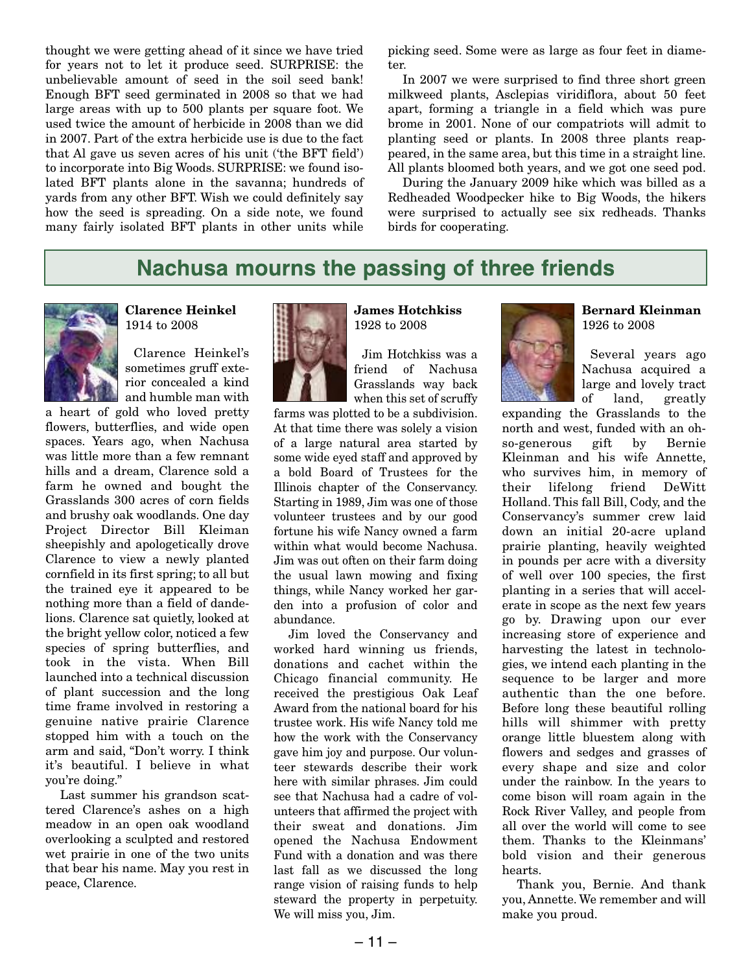thought we were getting ahead of it since we have tried for years not to let it produce seed. SURPRISE: the unbelievable amount of seed in the soil seed bank! Enough BFT seed germinated in 2008 so that we had large areas with up to 500 plants per square foot. We used twice the amount of herbicide in 2008 than we did in 2007. Part of the extra herbicide use is due to the fact that Al gave us seven acres of his unit ('the BFT field') to incorporate into Big Woods. SURPRISE: we found isolated BFT plants alone in the savanna; hundreds of yards from any other BFT. Wish we could definitely say how the seed is spreading. On a side note, we found many fairly isolated BFT plants in other units while picking seed. Some were as large as four feet in diameter.

In 2007 we were surprised to find three short green milkweed plants, Asclepias viridiflora, about 50 feet apart, forming a triangle in a field which was pure brome in 2001. None of our compatriots will admit to planting seed or plants. In 2008 three plants reappeared, in the same area, but this time in a straight line. All plants bloomed both years, and we got one seed pod.

During the January 2009 hike which was billed as a Redheaded Woodpecker hike to Big Woods, the hikers were surprised to actually see six redheads. Thanks birds for cooperating.

### **Nachusa mourns the passing of three friends**



**Clarence Heinkel** 1914 to 2008

Clarence Heinkel's sometimes gruff exterior concealed a kind and humble man with

a heart of gold who loved pretty flowers, butterflies, and wide open spaces. Years ago, when Nachusa was little more than a few remnant hills and a dream, Clarence sold a farm he owned and bought the Grasslands 300 acres of corn fields and brushy oak woodlands. One day Project Director Bill Kleiman sheepishly and apologetically drove Clarence to view a newly planted cornfield in its first spring; to all but the trained eye it appeared to be nothing more than a field of dandelions. Clarence sat quietly, looked at the bright yellow color, noticed a few species of spring butterflies, and took in the vista. When Bill launched into a technical discussion of plant succession and the long time frame involved in restoring a genuine native prairie Clarence stopped him with a touch on the arm and said, "Don't worry. I think it's beautiful. I believe in what you're doing."

Last summer his grandson scattered Clarence's ashes on a high meadow in an open oak woodland overlooking a sculpted and restored wet prairie in one of the two units that bear his name. May you rest in peace, Clarence.



**James Hotchkiss** 1928 to 2008

Jim Hotchkiss was a friend of Nachusa Grasslands way back when this set of scruffy

farms was plotted to be a subdivision. At that time there was solely a vision of a large natural area started by some wide eyed staff and approved by a bold Board of Trustees for the Illinois chapter of the Conservancy. Starting in 1989, Jim was one of those volunteer trustees and by our good fortune his wife Nancy owned a farm within what would become Nachusa. Jim was out often on their farm doing the usual lawn mowing and fixing things, while Nancy worked her garden into a profusion of color and abundance.

Jim loved the Conservancy and worked hard winning us friends, donations and cachet within the Chicago financial community. He received the prestigious Oak Leaf Award from the national board for his trustee work. His wife Nancy told me how the work with the Conservancy gave him joy and purpose. Our volunteer stewards describe their work here with similar phrases. Jim could see that Nachusa had a cadre of volunteers that affirmed the project with their sweat and donations. Jim opened the Nachusa Endowment Fund with a donation and was there last fall as we discussed the long range vision of raising funds to help steward the property in perpetuity. We will miss you, Jim.



**Bernard Kleinman** 1926 to 2008

Several years ago Nachusa acquired a large and lovely tract of land, greatly

expanding the Grasslands to the north and west, funded with an ohso-generous gift by Bernie Kleinman and his wife Annette, who survives him, in memory of their lifelong friend DeWitt Holland. This fall Bill, Cody, and the Conservancy's summer crew laid down an initial 20-acre upland prairie planting, heavily weighted in pounds per acre with a diversity of well over 100 species, the first planting in a series that will accelerate in scope as the next few years go by. Drawing upon our ever increasing store of experience and harvesting the latest in technologies, we intend each planting in the sequence to be larger and more authentic than the one before. Before long these beautiful rolling hills will shimmer with pretty orange little bluestem along with flowers and sedges and grasses of every shape and size and color under the rainbow. In the years to come bison will roam again in the Rock River Valley, and people from all over the world will come to see them. Thanks to the Kleinmans' bold vision and their generous hearts.

Thank you, Bernie. And thank you, Annette. We remember and will make you proud.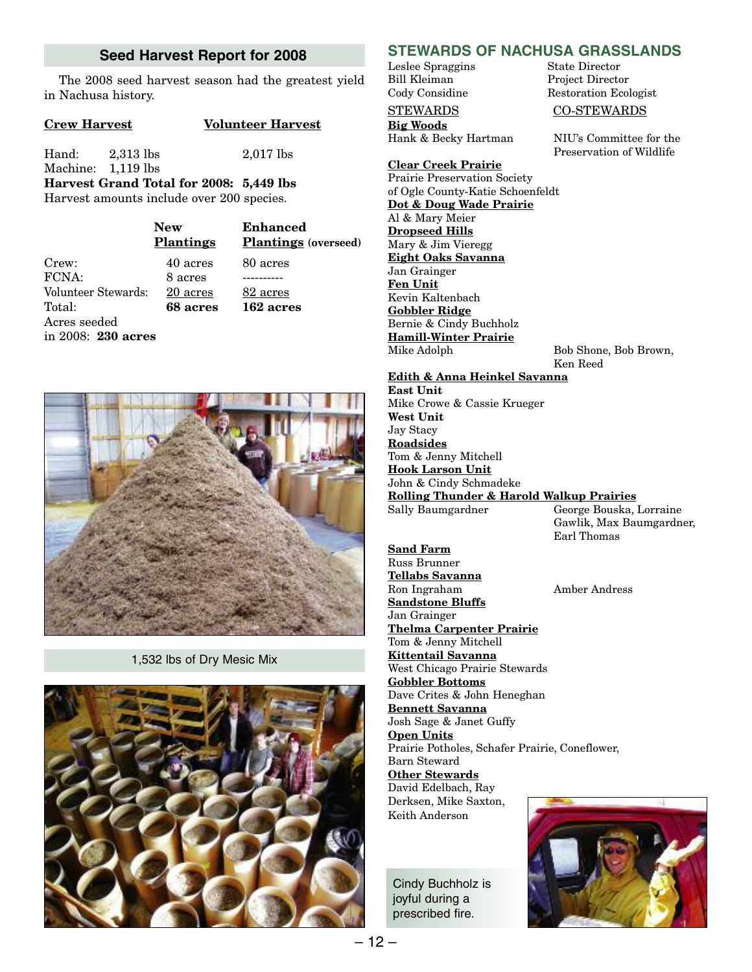#### **Seed Harvest Report for 2008**

The 2008 seed harvest season had the greatest yield in Nachusa history.

#### **Crew Harvest Volunteer Harvest**

Hand: 2,313 lbs 2,017 lbs

Machine: 1,119 lbs **Harvest Grand Total for 2008: 5,449 lbs** Harvest amounts include over 200 species.

|                     | <b>New</b><br><b>Plantings</b> | <b>Enhanced</b><br><b>Plantings</b> (overseed) |
|---------------------|--------------------------------|------------------------------------------------|
| Crew:               | 40 acres                       | 80 acres                                       |
| FCNA:               | 8 acres                        |                                                |
| Volunteer Stewards: | 20 acres                       | 82 acres                                       |
| Total:              | 68 acres                       | 162 acres                                      |
| Acres seeded        |                                |                                                |
| in 2008: 230 acres  |                                |                                                |



1,532 lbs of Dry Mesic Mix



### **STEWARDS OF NACHUSA GRASSLANDS**

Leslee Spraggins State Director Bill Kleiman Project Director

#### STEWARDS CO-STEWARDS

**Big Woods** Hank & Becky Hartman NIU's Committee for the

**Clear Creek Prairie** Prairie Preservation Society of Ogle County-Katie Schoenfeldt **Dot & Doug Wade Prairie** Al & Mary Meier **Dropseed Hills** Mary & Jim Vieregg **Eight Oaks Savanna** Jan Grainger **Fen Unit** Kevin Kaltenbach **Gobbler Ridge** Bernie & Cindy Buchholz **Hamill-Winter Prairie**

Bob Shone, Bob Brown, Ken Reed

Earl Thomas

Restoration Ecologist

Preservation of Wildlife

#### **Edith & Anna Heinkel Savanna**

**East Unit** Mike Crowe & Cassie Krueger **West Unit** Jay Stacy **Roadsides** Tom & Jenny Mitchell **Hook Larson Unit** John & Cindy Schmadeke **Rolling Thunder & Harold Walkup Prairies** George Bouska, Lorraine Gawlik, Max Baumgardner,

**Sand Farm** Russ Brunner **Tellabs Savanna** Ron Ingraham Amber Andress **Sandstone Bluffs** Jan Grainger **Thelma Carpenter Prairie** Tom & Jenny Mitchell **Kittentail Savanna** West Chicago Prairie Stewards **Gobbler Bottoms** Dave Crites & John Heneghan **Bennett Savanna** Josh Sage & Janet Guffy **Open Units** Prairie Potholes, Schafer Prairie, Coneflower, Barn Steward

**Other Stewards** David Edelbach, Ray Derksen, Mike Saxton, Keith Anderson

Cindy Buchholz is joyful during a prescribed fire.

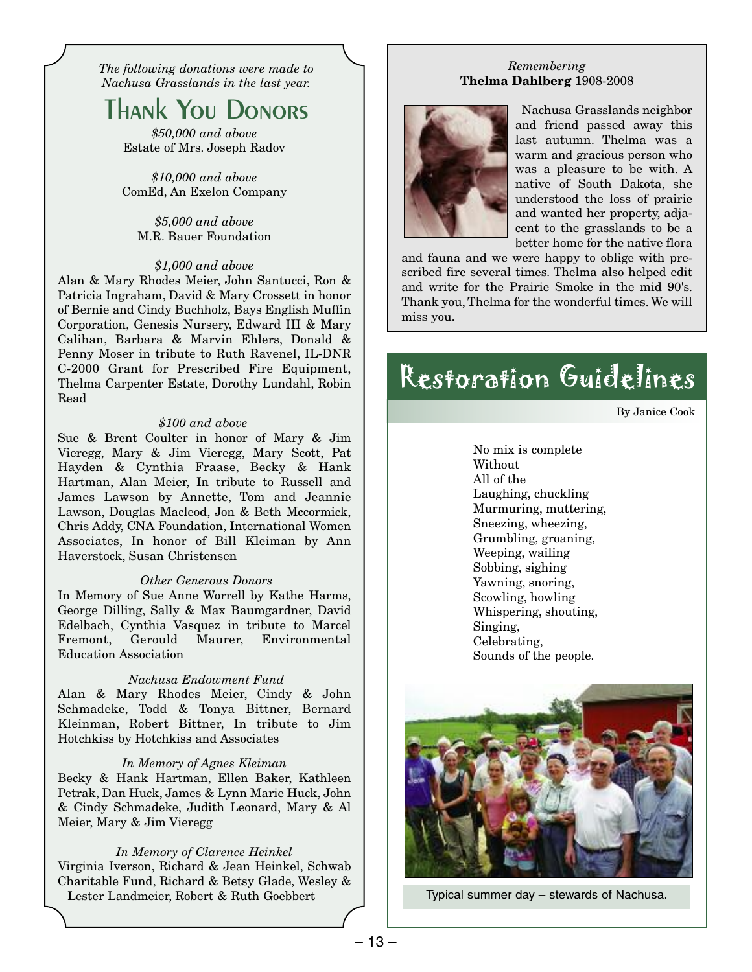*The following donations were made to Nachusa Grasslands in the last year.*

# **Thank You Donors**

*\$50,000 and above* Estate of Mrs. Joseph Radov

*\$10,000 and above* ComEd, An Exelon Company

*\$5,000 and above* M.R. Bauer Foundation

#### *\$1,000 and above*

Alan & Mary Rhodes Meier, John Santucci, Ron & Patricia Ingraham, David & Mary Crossett in honor of Bernie and Cindy Buchholz, Bays English Muffin Corporation, Genesis Nursery, Edward III & Mary Calihan, Barbara & Marvin Ehlers, Donald & Penny Moser in tribute to Ruth Ravenel, IL-DNR C-2000 Grant for Prescribed Fire Equipment, Thelma Carpenter Estate, Dorothy Lundahl, Robin Read

#### *\$100 and above*

Sue & Brent Coulter in honor of Mary & Jim Vieregg, Mary & Jim Vieregg, Mary Scott, Pat Hayden & Cynthia Fraase, Becky & Hank Hartman, Alan Meier, In tribute to Russell and James Lawson by Annette, Tom and Jeannie Lawson, Douglas Macleod, Jon & Beth Mccormick, Chris Addy, CNA Foundation, International Women Associates, In honor of Bill Kleiman by Ann Haverstock, Susan Christensen

#### *Other Generous Donors*

In Memory of Sue Anne Worrell by Kathe Harms, George Dilling, Sally & Max Baumgardner, David Edelbach, Cynthia Vasquez in tribute to Marcel Fremont, Gerould Maurer, Environmental Education Association

#### *Nachusa Endowment Fund*

Alan & Mary Rhodes Meier, Cindy & John Schmadeke, Todd & Tonya Bittner, Bernard Kleinman, Robert Bittner, In tribute to Jim Hotchkiss by Hotchkiss and Associates

#### *In Memory of Agnes Kleiman*

Becky & Hank Hartman, Ellen Baker, Kathleen Petrak, Dan Huck, James & Lynn Marie Huck, John & Cindy Schmadeke, Judith Leonard, Mary & Al Meier, Mary & Jim Vieregg

#### *In Memory of Clarence Heinkel*

Virginia Iverson, Richard & Jean Heinkel, Schwab Charitable Fund, Richard & Betsy Glade, Wesley & Lester Landmeier, Robert & Ruth Goebbert Typical summer day – stewards of Nachusa.

#### *Remembering* **Thelma Dahlberg** 1908-2008



Nachusa Grasslands neighbor and friend passed away this last autumn. Thelma was a warm and gracious person who was a pleasure to be with. A native of South Dakota, she understood the loss of prairie and wanted her property, adjacent to the grasslands to be a better home for the native flora

and fauna and we were happy to oblige with prescribed fire several times. Thelma also helped edit and write for the Prairie Smoke in the mid 90's. Thank you, Thelma for the wonderful times. We will miss you.

# Restoration Guidelines

By Janice Cook

No mix is complete Without All of the Laughing, chuckling Murmuring, muttering, Sneezing, wheezing, Grumbling, groaning, Weeping, wailing Sobbing, sighing Yawning, snoring, Scowling, howling Whispering, shouting, Singing, Celebrating, Sounds of the people.

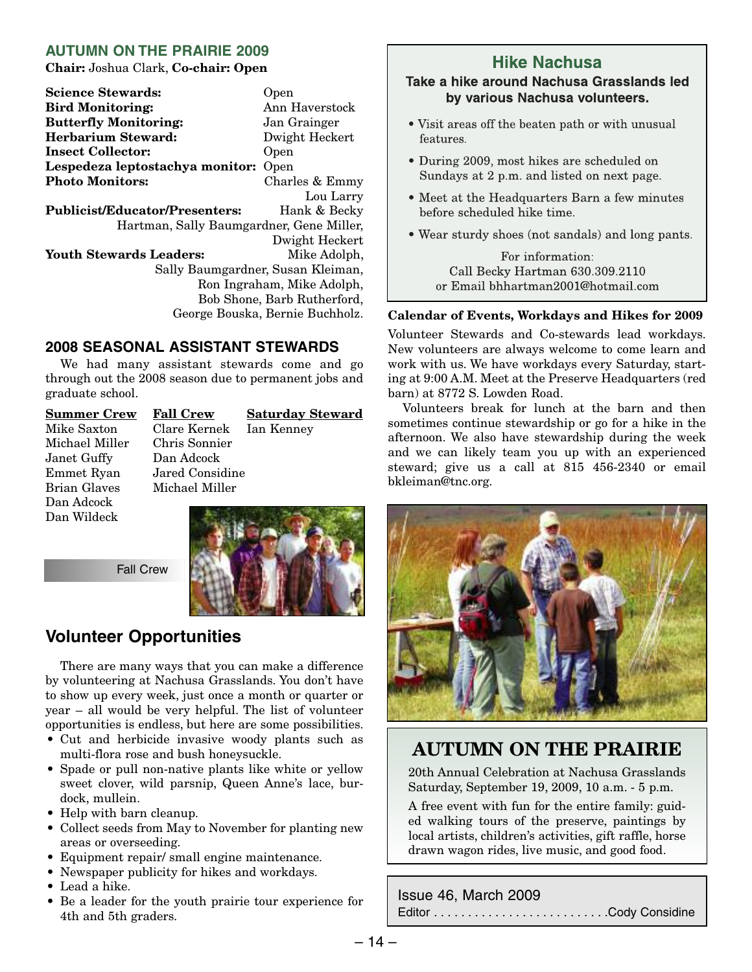#### **AUTUMN ON THE PRAIRIE 2009**

**Chair:** Joshua Clark, **Co-chair: Open**

**Science Stewards:** Open **Bird Monitoring:** Ann Haverstock **Butterfly Monitoring:** Jan Grainger **Herbarium Steward:** Dwight Heckert **Insect Collector:** Open **Lespedeza leptostachya monitor:** Open **Photo Monitors:** Charles & Emmy Lou Larry **Publicist/Educator/Presenters:** Hank & Becky Hartman, Sally Baumgardner, Gene Miller, Dwight Heckert Youth Stewards Leaders: Mike Adolph, Sally Baumgardner, Susan Kleiman, Ron Ingraham, Mike Adolph,

Bob Shone, Barb Rutherford, George Bouska, Bernie Buchholz.

#### **2008 SEASONAL ASSISTANT STEWARDS**

We had many assistant stewards come and go through out the 2008 season due to permanent jobs and graduate school.

Michael Miller Janet Guffy Dan Adcock Emmet Ryan Jared Considine Dan Adcock Dan Wildeck

**Summer Crew Fall Crew Saturday Steward** Mike Saxton Clare Kernek Ian Kenney Michael Miller



Fall Crew

### **Volunteer Opportunities**

There are many ways that you can make a difference by volunteering at Nachusa Grasslands. You don't have to show up every week, just once a month or quarter or year – all would be very helpful. The list of volunteer opportunities is endless, but here are some possibilities.

- Cut and herbicide invasive woody plants such as multi-flora rose and bush honeysuckle.
- Spade or pull non-native plants like white or yellow sweet clover, wild parsnip, Queen Anne's lace, burdock, mullein.
- Help with barn cleanup.
- Collect seeds from May to November for planting new areas or overseeding.
- Equipment repair/ small engine maintenance.
- Newspaper publicity for hikes and workdays.
- Lead a hike.
- Be a leader for the youth prairie tour experience for 4th and 5th graders.

### **Hike Nachusa**

#### **Take a hike around Nachusa Grasslands led by various Nachusa volunteers.**

- Visit areas off the beaten path or with unusual features.
- During 2009, most hikes are scheduled on Sundays at 2 p.m. and listed on next page.
- Meet at the Headquarters Barn a few minutes before scheduled hike time.
- Wear sturdy shoes (not sandals) and long pants.

For information: Call Becky Hartman 630.309.2110 or Email bhhartman2001@hotmail.com

#### **Calendar of Events, Workdays and Hikes for 2009**

Volunteer Stewards and Co-stewards lead workdays. New volunteers are always welcome to come learn and work with us. We have workdays every Saturday, starting at 9:00 A.M. Meet at the Preserve Headquarters (red barn) at 8772 S. Lowden Road.

Volunteers break for lunch at the barn and then sometimes continue stewardship or go for a hike in the afternoon. We also have stewardship during the week and we can likely team you up with an experienced steward; give us a call at 815 456-2340 or email bkleiman@tnc.org.



### **AUTUMN ON THE PRAIRIE**

20th Annual Celebration at Nachusa Grasslands Saturday, September 19, 2009, 10 a.m. - 5 p.m.

A free event with fun for the entire family: guided walking tours of the preserve, paintings by local artists, children's activities, gift raffle, horse drawn wagon rides, live music, and good food.

Issue 46, March 2009

Editor . . . . . . . . . . . . . . . . . . . . . . . . . .Cody Considine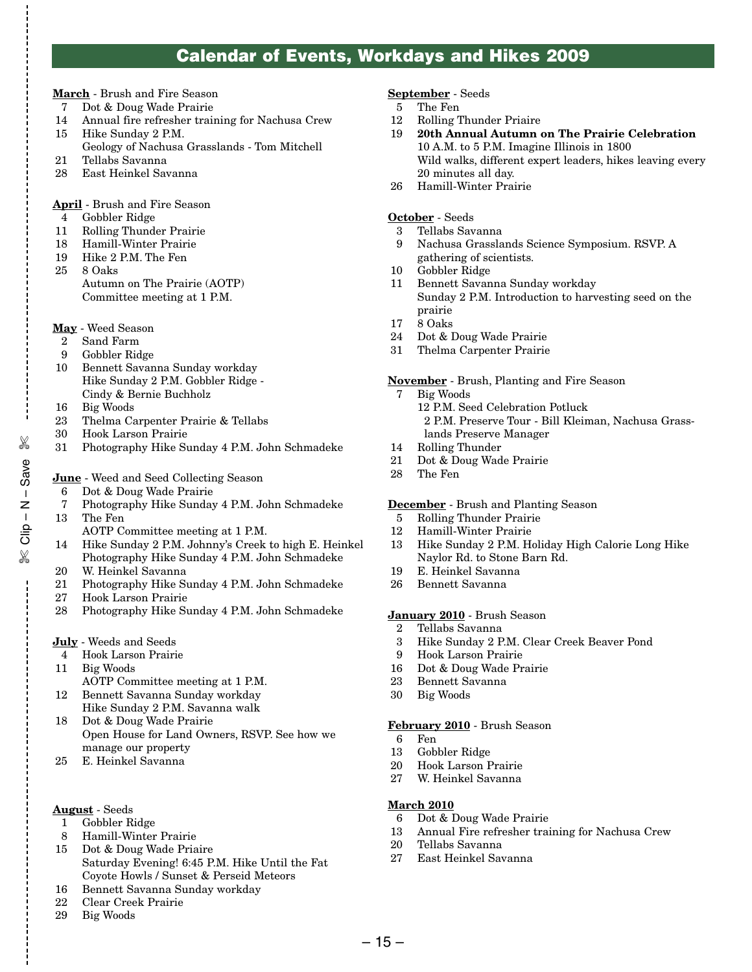### **Calendar of Events, Workdays and Hikes 2009**

- **March** Brush and Fire Season
- 7 Dot & Doug Wade Prairie
- 14 Annual fire refresher training for Nachusa Crew<br>15 Hike Sunday 2 P.M. Hike Sunday 2 P.M.
- Geology of Nachusa Grasslands Tom Mitchell
- 21 Tellabs Savanna
- 28 East Heinkel Savanna
- **April** Brush and Fire Season
- 4 Gobbler Ridge
- 11 Rolling Thunder Prairie
- 18 Hamill-Winter Prairie
- 19 Hike 2 P.M. The Fen
- 25 8 Oaks Autumn on The Prairie (AOTP) Committee meeting at 1 P.M.
- **May** Weed Season
- 2 Sand Farm
- 9 Gobbler Ridge
- 10 Bennett Savanna Sunday workday Hike Sunday 2 P.M. Gobbler Ridge - Cindy & Bernie Buchholz
- 16 Big Woods
- 23 Thelma Carpenter Prairie & Tellabs
- 30 Hook Larson Prairie
- 31 Photography Hike Sunday 4 P.M. John Schmadeke
- **June** Weed and Seed Collecting Season
- 6 Dot & Doug Wade Prairie
- 7 Photography Hike Sunday 4 P.M. John Schmadeke 13 The Fen
	- AOTP Committee meeting at 1 P.M.
- 14 Hike Sunday 2 P.M. Johnny's Creek to high E. Heinkel Photography Hike Sunday 4 P.M. John Schmadeke
- 20 W. Heinkel Savanna
- 21 Photography Hike Sunday 4 P.M. John Schmadeke
- 27 Hook Larson Prairie
- 28 Photography Hike Sunday 4 P.M. John Schmadeke
- **July** Weeds and Seeds
- 4 Hook Larson Prairie
- 11 Big Woods

✄

e<br>%<br>Save – N – dil<br>

✄

- AOTP Committee meeting at 1 P.M.
- 12 Bennett Savanna Sunday workday Hike Sunday 2 P.M. Savanna walk
- 18 Dot & Doug Wade Prairie Open House for Land Owners, RSVP. See how we manage our property
- 25 E. Heinkel Savanna

#### **August** - Seeds

- 1 Gobbler Ridge
- 8 Hamill-Winter Prairie
- 15 Dot & Doug Wade Priaire Saturday Evening! 6:45 P.M. Hike Until the Fat Coyote Howls / Sunset & Perseid Meteors
- 16 Bennett Savanna Sunday workday
- 22 Clear Creek Prairie
- 29 Big Woods

#### **September** - Seeds

- 5 The Fen
- 12 Rolling Thunder Priaire
- 19 **20th Annual Autumn on The Prairie Celebration** 10 A.M. to 5 P.M. Imagine Illinois in 1800 Wild walks, different expert leaders, hikes leaving every 20 minutes all day.
- 26 Hamill-Winter Prairie

#### **October** - Seeds

- 3 Tellabs Savanna
- 9 Nachusa Grasslands Science Symposium. RSVP. A gathering of scientists.
- 10 Gobbler Ridge
- 11 Bennett Savanna Sunday workday Sunday 2 P.M. Introduction to harvesting seed on the prairie
- 17 8 Oaks
- 24 Dot & Doug Wade Prairie
- 31 Thelma Carpenter Prairie

#### **November** - Brush, Planting and Fire Season

- 7 Big Woods 12 P.M. Seed Celebration Potluck 2 P.M. Preserve Tour - Bill Kleiman, Nachusa Grasslands Preserve Manager
- 14 Rolling Thunder
- 21 Dot & Doug Wade Prairie
- 28 The Fen

#### **December** - Brush and Planting Season

- 5 Rolling Thunder Prairie
- 12 Hamill-Winter Prairie
- 13 Hike Sunday 2 P.M. Holiday High Calorie Long Hike Naylor Rd. to Stone Barn Rd.
- 19 E. Heinkel Savanna
- 26 Bennett Savanna

#### **January 2010** - Brush Season

- 2 Tellabs Savanna
- 3 Hike Sunday 2 P.M. Clear Creek Beaver Pond
- 9 Hook Larson Prairie
- 16 Dot & Doug Wade Prairie
- 23 Bennett Savanna
- Big Woods

#### **February 2010** - Brush Season

- 6 Fen
- 13 Gobbler Ridge
- 20 Hook Larson Prairie
- 27 W. Heinkel Savanna

#### **March 2010**

- 6 Dot & Doug Wade Prairie
- 13 Annual Fire refresher training for Nachusa Crew
- 20 Tellabs Savanna
- 27 East Heinkel Savanna